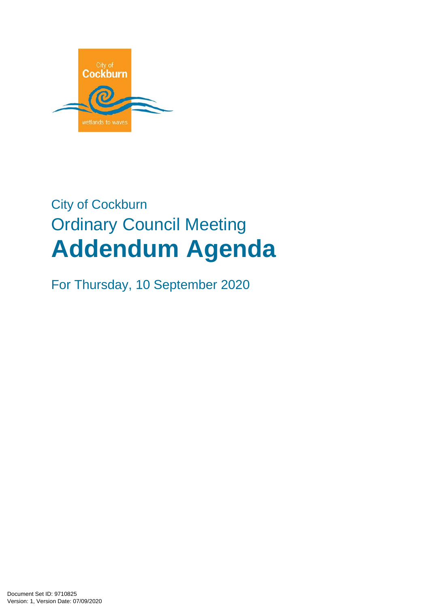

# City of Cockburn Ordinary Council Meeting **Addendum Agenda**

For Thursday, 10 September 2020

Document Set ID: 9710825<br>Version: 1, Version Date: 07/09/2020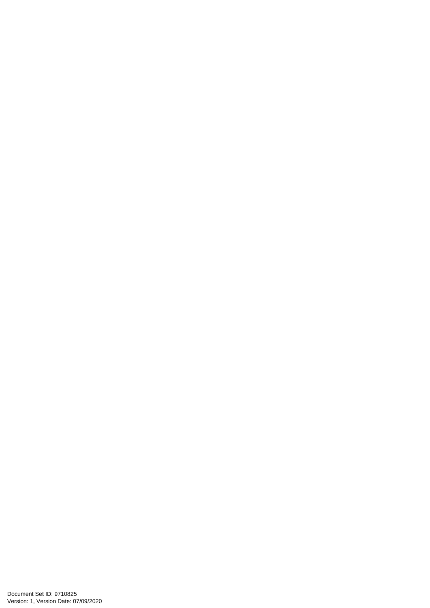Document Set ID: 9710825<br>Version: 1, Version Date: 07/09/2020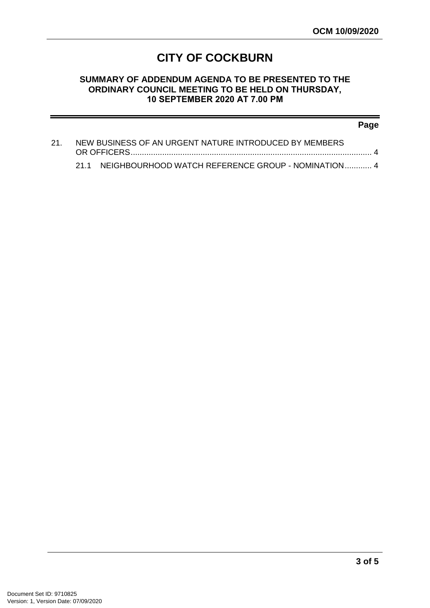## **CITY OF COCKBURN**

#### **SUMMARY OF ADDENDUM AGENDA TO BE PRESENTED TO THE ORDINARY COUNCIL MEETING TO BE HELD ON THURSDAY, 10 SEPTEMBER 2020 AT 7.00 PM**

**Page**

| 21. | NEW BUSINESS OF AN URGENT NATURE INTRODUCED BY MEMBERS |                                                         |  |
|-----|--------------------------------------------------------|---------------------------------------------------------|--|
|     |                                                        |                                                         |  |
|     |                                                        | 21.1 NEIGHBOURHOOD WATCH REFERENCE GROUP - NOMINATION 4 |  |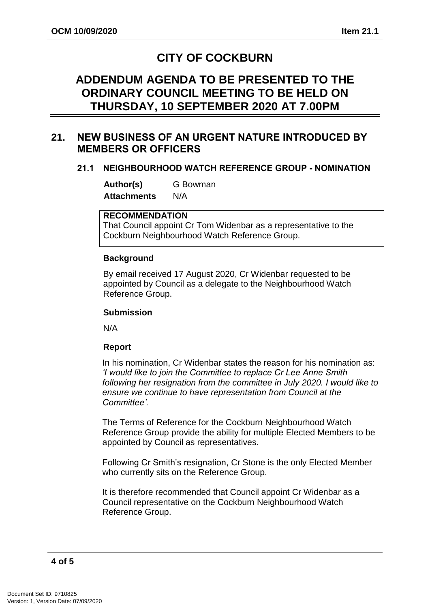## **CITY OF COCKBURN**

## **ADDENDUM AGENDA TO BE PRESENTED TO THE ORDINARY COUNCIL MEETING TO BE HELD ON THURSDAY, 10 SEPTEMBER 2020 AT 7.00PM**

### <span id="page-3-0"></span>**21. NEW BUSINESS OF AN URGENT NATURE INTRODUCED BY MEMBERS OR OFFICERS**

#### <span id="page-3-1"></span>**21.1 NEIGHBOURHOOD WATCH REFERENCE GROUP - NOMINATION**

**Author(s)** G Bowman **Attachments** N/A

#### **RECOMMENDATION**

That Council appoint Cr Tom Widenbar as a representative to the Cockburn Neighbourhood Watch Reference Group.

#### **Background**

By email received 17 August 2020, Cr Widenbar requested to be appointed by Council as a delegate to the Neighbourhood Watch Reference Group.

#### **Submission**

N/A

#### **Report**

In his nomination, Cr Widenbar states the reason for his nomination as: *'I would like to join the Committee to replace Cr Lee Anne Smith*  following her resignation from the committee in July 2020. I would like to *ensure we continue to have representation from Council at the Committee'.*

The Terms of Reference for the Cockburn Neighbourhood Watch Reference Group provide the ability for multiple Elected Members to be appointed by Council as representatives.

Following Cr Smith's resignation, Cr Stone is the only Elected Member who currently sits on the Reference Group.

It is therefore recommended that Council appoint Cr Widenbar as a Council representative on the Cockburn Neighbourhood Watch Reference Group.